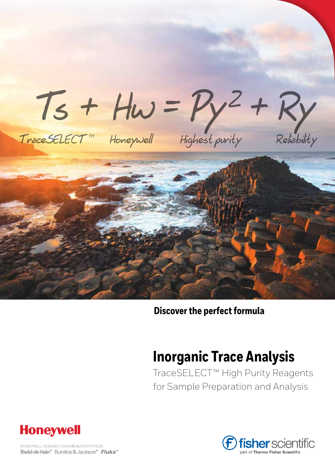

### **Discover the perfect formula**

# **Inorganic Trace Analysis**

TraceSELECT™ High Purity Reagents for Sample Preparation and Analysis



HONEYWELL RESEARCH CHEMICALS PORTFOLIO: Riedel-de Haën™ Burdick & Jackson™ Fluka™

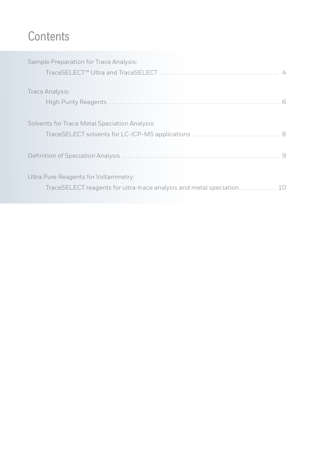## **Contents**

| Sample Preparation for Trace Analysis:                                 |  |
|------------------------------------------------------------------------|--|
|                                                                        |  |
|                                                                        |  |
| Trace Analysis:                                                        |  |
|                                                                        |  |
|                                                                        |  |
| Solvents for Trace Metal Speciation Analysis:                          |  |
|                                                                        |  |
|                                                                        |  |
|                                                                        |  |
|                                                                        |  |
| Ultra Pure Reagents for Voltammetry:                                   |  |
| TraceSELECT reagents for ultra-trace analysis and metal speciation  10 |  |
|                                                                        |  |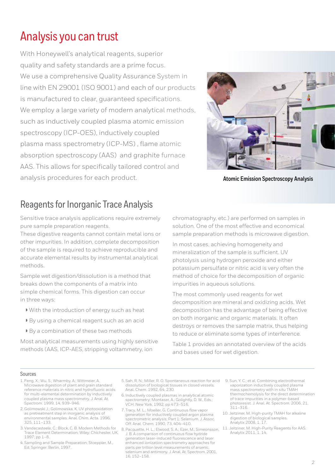## Analysis you can trust

With Honeywell's analytical reagents, superior quality and safety standards are a prime focus. We use a comprehensive Quality Assurance System in line with EN 29001 (ISO 9001) and each of our products is manufactured to clear, guaranteed specifications. We employ a large variety of modern analytical methods, such as inductively coupled plasma atomic emission spectroscopy (ICP-OES), inductively coupled plasma mass spectrometry (ICP-MS) , flame atomic absorption spectroscopy (AAS) and graphite furnace AAS. This allows for specifically tailored control and analysis procedures for each product.



**Atomic Emission Spectroscopy Analysis**

### Reagents for Inorganic Trace Analysis

Sensitive trace analysis applications require extremely pure sample preparation reagents.

These digestive reagents cannot contain metal ions or other impurities. In addition, complete decomposition of the sample is required to achieve reproducible and accurate elemental results by instrumental analytical methods.

Sample wet digestion/dissolution is a method that breaks down the components of a matrix into simple chemical forms. This digestion can occur in three ways:

- <sup>w</sup> With the introduction of energy such as heat
- <sup>w</sup> By using a chemical reagent such as an acid
- ▶ By a combination of these two methods

Most analytical measurements using highly sensitive methods (AAS, ICP-AES, stripping voltammetry, ion

chromatography, etc.) are performed on samples in solution. One of the most effective and economical sample preparation methods is microwave digestion.

In most cases, achieving homogeneity and mineralization of the sample is sufficient. UV photolysis using hydrogen peroxide and either potassium persulfate or nitric acid is very often the method of choice for the decomposition of organic impurities in aqueous solutions.

The most commonly used reagents for wet decomposition are mineral and oxidizing acids. Wet decomposition has the advantage of being effective on both inorganic and organic materials. It often destroys or removes the sample matrix, thus helping to reduce or eliminate some types of interference.

Table 1 provides an annotated overview of the acids and bases used for wet digestion.

#### Sources

- 1. Feng, X.; Wu, S.; Wharmby, A.; Wittmeier, A. Microwave digestion of plant and grain standard reference materials in nitric and hydrofluoric acids for multi-elemental determination by inductively coupled plasma mass spectrometry. J. Anal. At. Spectrom. 1999, 14, 939–946.
- 2. Golimowski J.; Golimowska, K. UV photooxidation as pretreatment step in inorganic analysis of environmental samples. Anal. Chim. Acta. 1996, 325, 111–133.
- 3. Vandecasteele, C.; Block, C. B. Modern Methods for Trace Element Determination; Wiley: Chichester, UK, 1997; pp 1–8.
- 4. Sampling and Sample Preparation; Stoeppler, M., Ed; Springer: Berlin, 1997.
- 5. Sah, R. N.; Miller, R. O. Spontaneous reaction for acid 9. Sun, Y. C.; et al. Combining electrothermal dissolution of biological tissues in closed vessels. Anal. Chem. 1992, 64, 230.
- 6. Inductively coupled plasmas in analytical atomic spectrometry; Montaser, A.; Golightly, D. W., Eds.; VCH: New York, 1992; pp 473–516.
- 7. Tracy, M. L.; Moeller, G. Continuous flow vapor generation for inductively coupled argon plasma spectrometric analysis; Part 1: Selenium. J. Assoc. Off. Anal. Chem. 1990, 73, 404–410.
- 8. Pacquette, H. L.; Elwood, S. A.; Ezer, M.; Simeonsson, J. B. A comparison of continuous flow hydride generation laser-induced fluorescence and laser enhanced ionization spectrometry approaches for parts per trillion level measurements of arsenic, selenium and antimony. J. Anal. At. Spectrom. 2001, 16, 152–158.
- vaporization inductively coupled plasma mass spectrometry with in situ TMAH thermochemolysis for the direct determination of trace impurities in a polymer-based photoresist. J. Anal. At. Spectrom. 2006, 21, 311–316.
- 10. Jeitziner, M. High-purity TMAH for alkaline digestion of biological samples. Analytix 2008, 1, 17.
- 11. Jeitziner, M. High-Purity Reagents for AAS. Analytix 2011, 1, 14.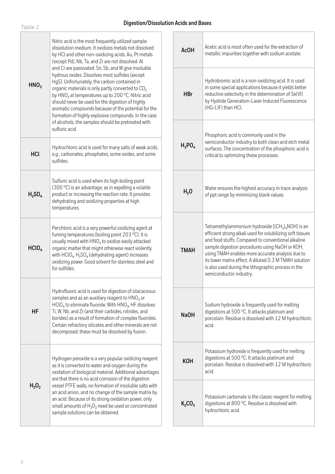| __ | $\sim$ |  |
|----|--------|--|

|                   |                                                                                                                                                                                                                                                                                                                                                                                                                                                                                                                   | AcO |                  |
|-------------------|-------------------------------------------------------------------------------------------------------------------------------------------------------------------------------------------------------------------------------------------------------------------------------------------------------------------------------------------------------------------------------------------------------------------------------------------------------------------------------------------------------------------|-----|------------------|
| HNO <sub>3</sub>  | and Cr are passivated. Sn, Sb, and W give insoluble<br>hydrous oxides. Dissolves most sulfides (except<br>HgS). Unfortunately, the carbon contained in<br>organic materials is only partly converted to CO <sub>2</sub><br>by HNO <sub>3</sub> at temperatures up to 200 °C. Nitric acid<br>should never be used for the digestion of highly<br>aromatic compounds because of the potential for the<br>formation of highly explosive compounds. In the case<br>of alcohols, the samples should be pretreated with |     | HB               |
|                   | sulfuric acid.                                                                                                                                                                                                                                                                                                                                                                                                                                                                                                    |     |                  |
| <b>HCl</b>        | Hydrochloric acid is used for many salts of weak acids,<br>e.g., carbonates, phosphates, some oxides, and some<br>sulfides.                                                                                                                                                                                                                                                                                                                                                                                       |     | $H_3P$           |
| $H_{2}SO_{4}$     | Sulfuric acid is used when its high boiling point<br>(300 °C) is an advantage, as in expelling a volatile<br>product or increasing the reaction rate. It provides<br>dehydrating and oxidizing properties at high<br>temperatures.                                                                                                                                                                                                                                                                                |     | H <sub>2</sub>   |
| HCIO <sub>4</sub> | Perchloric acid is a very powerful oxidizing agent at<br>fuming temperatures (boiling point 203 °C). It is<br>usually mixed with $HNO3$ to oxidize easily attacked<br>organic matter that might otherwise react violently<br>with $HClO4$ . H <sub>2</sub> SO <sub>4</sub> (dehydrating agent) increases<br>oxidizing power. Good solvent for stainless steel and<br>for sulfides.                                                                                                                                |     | <b>TMA</b>       |
| HF                | Hydrofluoric acid is used for digestion of silacaceous<br>samples and as an auxiliary reagent to $HNO3$ or<br>$HClO4$ to eliminate fluoride. With $HNO3$ , HF dissolves<br>Ti, W, Nb, and Zr (and their carbides, nitrides, and<br>borides) as a result of formation of complex fluorides.<br>Certain refractory silicates and other minerals are not<br>decomposed; these must be dissolved by fusion.                                                                                                           |     | NaC              |
| $H_2O_2$          | Hydrogen peroxide is a very popular oxidizing reagent<br>as it is converted to water and oxygen during the<br>oxidation of biological material. Additional advantages                                                                                                                                                                                                                                                                                                                                             |     | KO               |
|                   | are that there is no acid corrosion of the digestion<br>vessel PTFE walls, no formation of insoluble salts with<br>an acid anion, and no change of the sample matrix by<br>an acid. Because of its strong oxidation power, only<br>small amounts of $H_2O_2$ need be used so concentrated<br>sample solutions can be obtained.                                                                                                                                                                                    |     | K <sub>2</sub> C |

| <b>AcOH</b>      | Acetic acid is most often used for the extraction of<br>metallic impurities together with sodium acetate.                                                                                                                                                                                                                                                                                                               |
|------------------|-------------------------------------------------------------------------------------------------------------------------------------------------------------------------------------------------------------------------------------------------------------------------------------------------------------------------------------------------------------------------------------------------------------------------|
| <b>HBr</b>       | Hydrobromic acid is a non-oxidizing acid. It is used<br>in some special applications because it yields better<br>reductive selectivity in the determination of Se(VI)<br>by Hydride Generation-Laser Induced Fluorescence<br>(HG-LIF) than HCl.                                                                                                                                                                         |
| $H_3PO_4$        | Phosphoric acid is commonly used in the<br>semiconductor industry to both clean and etch metal<br>surfaces. The concentration of the phosphoric acid is<br>critical to optimizing these processes.                                                                                                                                                                                                                      |
| H <sub>2</sub> 0 | Water ensures the highest accuracy in trace analysis<br>of ppt range by minimizing blank values.                                                                                                                                                                                                                                                                                                                        |
| <b>TMAH</b>      | Tetramethylammonium hydroxide $[(CH3)4NOH]$ is an<br>efficient strong alkali used for solubilizing soft tissues<br>and food stuffs. Compared to conventional alkaline<br>sample digestion procedures using NaOH or KOH,<br>using TMAH enables more accurate analysis due to<br>its lower matrix effect. A diluted 0.3 M TMAH solution<br>is also used during the lithographic process in the<br>semiconductor industry. |
| Na <sub>OH</sub> | Sodium hydroxide is frequently used for melting<br>digestions at 500 °C. It attacks platinum and<br>porcelain. Residue is dissolved with 12 M hydrochloric<br>acid.                                                                                                                                                                                                                                                     |
| KOH              | Potassium hydroxide is frequently used for melting<br>digestions at 500 °C. It attacks platinum and<br>porcelain. Residue is dissolved with 12 M hydrochloric<br>acid.                                                                                                                                                                                                                                                  |
| $K_2CO_3$        | Potassium carbonate is the classic reagent for melting<br>digestions at 800 °C. Residue is dissolved with<br>hydrochloric acid.                                                                                                                                                                                                                                                                                         |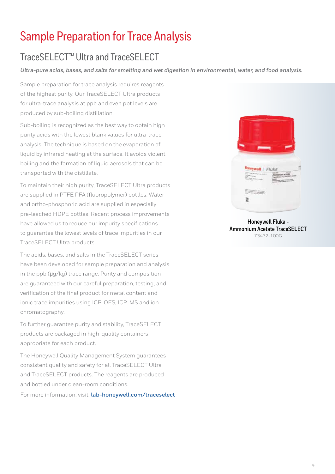## <span id="page-4-0"></span>Sample Preparation for Trace Analysis

## TraceSELECT™ Ultra and TraceSELECT

*Ultra-pure acids, bases, and salts for smelting and wet digestion in environmental, water, and food analysis.*

Sample preparation for trace analysis requires reagents of the highest purity. Our TraceSELECT Ultra products for ultra-trace analysis at ppb and even ppt levels are produced by sub-boiling distillation.

Sub-boiling is recognized as the best way to obtain high purity acids with the lowest blank values for ultra-trace analysis. The technique is based on the evaporation of liquid by infrared heating at the surface. It avoids violent boiling and the formation of liquid aerosols that can be transported with the distillate.

To maintain their high purity, TraceSELECT Ultra products are supplied in PTFE PFA (fluoropolymer) bottles. Water and ortho-phosphoric acid are supplied in especially pre-leached HDPE bottles. Recent process improvements have allowed us to reduce our impurity specifications to guarantee the lowest levels of trace impurities in our TraceSELECT Ultra products.

The acids, bases, and salts in the TraceSELECT series have been developed for sample preparation and analysis in the ppb (μg/kg) trace range. Purity and composition are guaranteed with our careful preparation, testing, and verification of the final product for metal content and ionic trace impurities using ICP-OES, ICP-MS and ion chromatography.

To further guarantee purity and stability, TraceSELECT products are packaged in high-quality containers appropriate for each product.

The Honeywell Quality Management System guarantees consistent quality and safety for all TraceSELECT Ultra and TraceSELECT products. The reagents are produced and bottled under clean-room conditions. For more information, visit: **[lab-honeywell.com/traceselect](http://lab-honeywell.com/traceselect)**



**Honeywell Fluka - Ammonium Acetate TraceSELECT** 73432-100G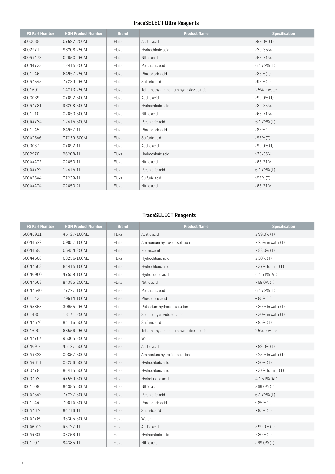### **TraceSELECT Ultra Reagents**

| <b>FS Part Number</b> | <b>HON Product Number</b> | <b>Brand</b> | <b>Product Name</b>                    | <b>Specification</b> |
|-----------------------|---------------------------|--------------|----------------------------------------|----------------------|
| 6000038               | 07692-250ML               | Fluka        | Acetic acid                            | $>99.0\%$ (T)        |
| 6002971               | 96208-250ML               | Fluka        | Hydrochloric acid                      | $>30-35%$            |
| 60044473              | 02650-250ML               | Fluka        | Nitric acid                            | $>65 - 71\%$         |
| 60044733              | 12415-250ML               | Fluka        | Perchloric acid                        | $67 - 72%$ (T)       |
| 6001146               | 64957-250ML               | Fluka        | Phosphoric acid                        | $>85\%$ (T)          |
| 60047545              | 77239-250ML               | Fluka        | Sulfuric acid                          | $>95\%$ (T)          |
| 6001691               | 14213-250ML               | Fluka        | Tetramethylammonium hydroxide solution | 25% in water         |
| 6000039               | 07692-500ML               | Fluka        | Acetic acid                            | $>99.0\%$ (T)        |
| 60047781              | 96208-500ML               | Fluka        | Hydrochloric acid                      | $>30-35%$            |
| 6001110               | 02650-500ML               | Fluka        | Nitric acid                            | $>65 - 71%$          |
| 60044734              | 12415-500ML               | Fluka        | Perchloric acid                        | $67 - 72\%$ (T)      |
| 6001145               | 64957-1L                  | Fluka        | Phosphoric acid                        | $>85\%$ (T)          |
| 60047546              | 77239-500ML               | Fluka        | Sulfuric acid                          | $>95\%$ (T)          |
| 6000037               | 07692-1L                  | Fluka        | Acetic acid                            | $>99.0\%$ (T)        |
| 6002970               | 96208-1L                  | Fluka        | Hydrochloric acid                      | $>30-35%$            |
| 60044472              | 02650-1L                  | Fluka        | Nitric acid                            | $>65 - 71\%$         |
| 60044732              | 12415-1L                  | Fluka        | Perchloric acid                        | $67 - 72\%$ (T)      |
| 60047544              | 77239-1L                  | Fluka        | Sulfuric acid                          | $>95\%$ (T)          |
| 60044474              | 02650-2L                  | Fluka        | Nitric acid                            | $>65 - 71\%$         |

### **TraceSELECT Reagents**

| <b>FS Part Number</b> | <b>HON Product Number</b> | <b>Brand</b> | <b>Product Name</b>                    | <b>Specification</b>    |
|-----------------------|---------------------------|--------------|----------------------------------------|-------------------------|
| 60046911              | 45727-100ML               | Fluka        | Acetic acid                            | $\geq 99.0\%$ (T)       |
| 60044622              | 09857-100ML               | Fluka        | Ammonium hydroxide solution            | $\geq$ 25% in water (T) |
| 60044585              | 06454-250ML               | Fluka        | Formic acid                            | $\geq 88.0\%$ (T)       |
| 60044608              | 08256-100ML               | Fluka        | Hydrochloric acid                      | $\geq 30\%$ (T)         |
| 60047668              | 84415-100ML               | Fluka        | Hydrochloric acid                      | $\geq$ 37% fuming (T)   |
| 60046960              | 47559-100ML               | Fluka        | Hydrofluoric acid                      | 47-51% (AT)             |
| 60047663              | 84385-250ML               | Fluka        | Nitric acid                            | $>69.0\%$ (T)           |
| 60047540              | 77227-100ML               | Fluka        | Perchloric acid                        | $67 - 72\%$ (T)         |
| 6001143               | 79614-100ML               | Fluka        | Phosphoric acid                        | $~85\%$ (T)             |
| 60045868              | 30955-250ML               | Fluka        | Potassium hydroxide solution           | $\geq$ 30% in water (T) |
| 6001485               | 13171-250ML               | Fluka        | Sodium hydroxide solution              | $\geq$ 30% in water (T) |
| 60047676              | 84716-500ML               | Fluka        | Sulfuric acid                          | $\geq 95\%$ (T)         |
| 6001690               | 68556-250ML               | Fluka        | Tetramethylammonium hydroxide solution | 25% in water            |
| 60047767              | 95305-250ML               | Fluka        | Water                                  |                         |
| 60046914              | 45727-500ML               | Fluka        | Acetic acid                            | $\geq 99.0\%$ (T)       |
| 60044623              | 09857-500ML               | Fluka        | Ammonium hydroxide solution            | $\geq$ 25% in water (T) |
| 60044611              | 08256-500ML               | Fluka        | Hydrochloric acid                      | $\geq 30\%$ (T)         |
| 6000778               | 84415-500ML               | Fluka        | Hydrochloric acid                      | $\geq$ 37% fuming (T)   |
| 6000793               | 47559-500ML               | Fluka        | Hydrofluoric acid                      | 47-51% (AT)             |
| 6001109               | 84385-500ML               | Fluka        | Nitric acid                            | $>69.0\%$ (T)           |
| 60047542              | 77227-500ML               | Fluka        | Perchloric acid                        | $67 - 72\%$ (T)         |
| 6001144               | 79614-500ML               | Fluka        | Phosphoric acid                        | $~85\%$ (T)             |
| 60047674              | 84716-1L                  | Fluka        | Sulfuric acid                          | $\geq 95\%$ (T)         |
| 60047769              | 95305-500ML               | Fluka        | Water                                  |                         |
| 60046912              | 45727-1L                  | Fluka        | Acetic acid                            | $\geq 99.0\%$ (T)       |
| 60044609              | 08256-1L                  | Fluka        | Hydrochloric acid                      | $\geq 30\%$ (T)         |
| 6001107               | 84385-1L                  | Fluka        | Nitric acid                            | $>69.0\%$ (T)           |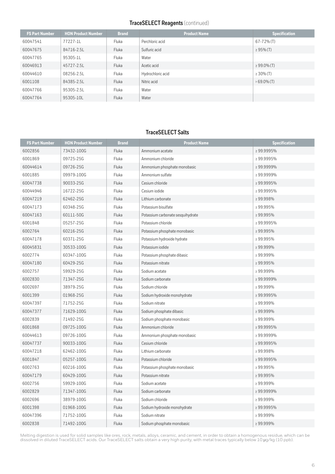#### **TraceSELECT Reagents** (continued)

<span id="page-6-0"></span>

| <b>FS Part Number</b> | <b>HON Product Number</b> | <b>Brand</b> | <b>Product Name</b> | <b>Specification</b> |
|-----------------------|---------------------------|--------------|---------------------|----------------------|
| 60047541              | 77227-11                  | Fluka        | Perchloric acid     | $67 - 72\%$ (T)      |
| 60047675              | 84716-2.5L                | Fluka        | Sulfuric acid       | $\geq 95\%$ (T)      |
| 60047765              | 95305-1L                  | Fluka        | Water               |                      |
| 60046913              | 45727-2.5L                | <b>Fluka</b> | Acetic acid         | $\geq 99.0\%$ (T)    |
| 60044610              | 08256-2.5L                | Fluka        | Hydrochloric acid   | $\geq 30\%$ (T)      |
| 6001108               | 84385-2.5L                | Fluka        | Nitric acid         | $>69.0\%$ (T)        |
| 60047766              | 95305-2.5L                | Fluka        | Water               |                      |
| 60047764              | 95305-10L                 | Fluka        | Water               |                      |

#### **TraceSELECT Salts**

| <b>FS Part Number</b> | <b>HON Product Number</b> | <b>Brand</b> | <b>Product Name</b>               | <b>Specification</b> |
|-----------------------|---------------------------|--------------|-----------------------------------|----------------------|
| 6002856               | 73432-100G                | Fluka        | Ammonium acetate                  | ≥99.9995%            |
| 6001869               | 09725-25G                 | Fluka        | Ammonium chloride                 | ≥99.9995%            |
| 60044614              | 09726-25G                 | Fluka        | Ammonium phosphate monobasic      | ≥99.9999%            |
| 6001885               | 09979-100G                | Fluka        | Ammonium sulfate                  | ≥99.9999%            |
| 60047738              | 90033-25G                 | Fluka        | Cesium chloride                   | ≥99.9995%            |
| 60044946              | 16722-25G                 | Fluka        | Cesium iodide                     | ≥99.9995%            |
| 60047219              | 62462-25G                 | Fluka        | Lithium carbonate                 | ≥99.998%             |
| 60047173              | 60348-25G                 | Fluka        | Potassium bisulfate               | ≥99.995%             |
| 60047163              | 60111-50G                 | Fluka        | Potassium carbonate sesquihydrate | ≥99.995%             |
| 6001848               | 05257-25G                 | Fluka        | Potassium chloride                | ≥99.9995%            |
| 6002764               | 60216-25G                 | Fluka        | Potassium phosphate monobasic     | ≥99.995%             |
| 60047178              | 60371-25G                 | Fluka        | Potassium hydroxide hydrate       | ≥99.995%             |
| 60045831              | 30533-100G                | Fluka        | Potassium iodide                  | ≥99.999%             |
| 6002774               | 60347-100G                | Fluka        | Potassium phosphate dibasic       | ≥99.999%             |
| 60047180              | 60429-25G                 | Fluka        | Potassium nitrate                 | ≥99.995%             |
| 6002757               | 59929-25G                 | Fluka        | Sodium acetate                    | ≥99.999%             |
| 6002830               | 71347-25G                 | Fluka        | Sodium carbonate                  | ≥ 99.9999%           |
| 6002697               | 38979-25G                 | Fluka        | Sodium chloride                   | ≥99.999%             |
| 6001399               | 01968-25G                 | Fluka        | Sodium hydroxide monohydrate      | ≥99.9995%            |
| 60047397              | 71752-25G                 | Fluka        | Sodium nitrate                    | ≥99.999%             |
| 60047377              | 71629-100G                | Fluka        | Sodium phosphate dibasic          | ≥99.999%             |
| 6002839               | 71492-25G                 | Fluka        | Sodium phosphate monobasic        | ≥99.999%             |
| 6001868               | 09725-100G                | Fluka        | Ammonium chloride                 | ≥99.9995%            |
| 60044613              | 09726-100G                | Fluka        | Ammonium phosphate monobasic      | ≥99.9999%            |
| 60047737              | 90033-100G                | Fluka        | Cesium chloride                   | ≥99.9995%            |
| 60047218              | 62462-100G                | Fluka        | Lithium carbonate                 | ≥99.998%             |
| 6001847               | 05257-100G                | Fluka        | Potassium chloride                | ≥99.9995%            |
| 6002763               | 60216-100G                | Fluka        | Potassium phosphate monobasic     | ≥ 99.995%            |
| 60047179              | 60429-100G                | Fluka        | Potassium nitrate                 | ≥99.995%             |
| 6002756               | 59929-100G                | Fluka        | Sodium acetate                    | ≥99.999%             |
| 6002829               | 71347-100G                | Fluka        | Sodium carbonate                  | ≥99.9999%            |
| 6002696               | 38979-100G                | Fluka        | Sodium chloride                   | ≥99.999%             |
| 6001398               | 01968-100G                | Fluka        | Sodium hydroxide monohydrate      | ≥99.9995%            |
| 60047396              | 71752-100G                | Fluka        | Sodium nitrate                    | ≥99.999%             |
| 6002838               | 71492-100G                | Fluka        | Sodium phosphate monobasic        | ≥99.999%             |

Melting digestion is used for solid samples like ores, rock, metals, alloys, ceramic, and cement, in order to obtain a homogenous residue, which can be dissolved in diluted TraceSELECT acids. Our TraceSELECT salts obtain a very high purity, with metal traces typically below 10 μg/kg (10 ppb).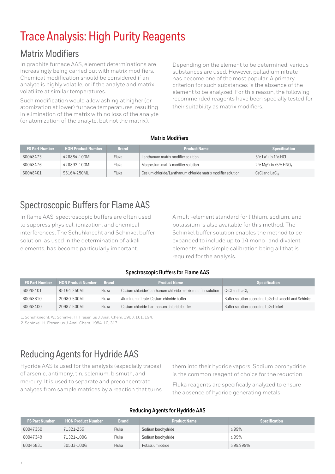# Trace Analysis: High Purity Reagents

### Matrix Modifiers

In graphite furnace AAS, element determinations are increasingly being carried out with matrix modifiers. Chemical modification should be considered if an analyte is highly volatile, or if the analyte and matrix volatilize at similar temperatures.

Such modification would allow ashing at higher (or atomization at lower) furnace temperatures, resulting in elimination of the matrix with no loss of the analyte (or atomization of the analyte, but not the matrix).

Depending on the element to be determined, various substances are used. However, palladium nitrate has become one of the most popular. A primary criterion for such substances is the absence of the element to be analyzed. For this reason, the following recommended reagents have been specially tested for their suitability as matrix modifiers.

#### **Matrix Modifiers**

| <b>FS Part Number</b> | <b>HON Product Number</b> | <b>Brand</b> | <b>Product Name</b>                                         | <b>Specification</b>                           |
|-----------------------|---------------------------|--------------|-------------------------------------------------------------|------------------------------------------------|
| 60048473              | 428884-100ML              | Fluka        | Lanthanum matrix modifier solution                          | $5\%$ La <sup>3</sup> + in 1% HCL              |
| 60048476              | 428892-100ML              | Fluka        | Magnesium matrix modifier solution                          | $2\%$ Mg <sup>2+</sup> in <5% HNO <sub>3</sub> |
| 60048401              | 95164-250ML               | Fluka        | Cesium chloride/Lanthanum chloride matrix modifier solution | CsCl and LaCl <sub>3</sub>                     |

## Spectroscopic Buffers for Flame AAS

In flame AAS, spectroscopic buffers are often used to suppress physical, ionization, and chemical interferences. The Schuhknecht and Schinkel buffer solution, as used in the determination of alkali elements, has become particularly important.

A multi-element standard for lithium, sodium, and potassium is also available for this method. The Schinkel buffer solution enables the method to be expanded to include up to 14 mono- and divalent elements, with simple calibration being all that is required for the analysis.

### **Spectroscopic Buffers for Flame AAS**

| <b>FS Part Number</b> | <b>HON Product Number</b> | <b>Brand</b> | <b>Product Name</b>                                         | <b>Specification</b>                                         |
|-----------------------|---------------------------|--------------|-------------------------------------------------------------|--------------------------------------------------------------|
| 60048401              | 95164-250ML               | Fluka        | Cesium chloride/Lanthanum chloride matrix modifier solution | CsCl and LaCl <sub>2</sub>                                   |
| 60048610              | 20980-500ML               | Fluka        | Aluminum nitrate-Cesium chloride buffer                     | <b>Buffer solution according to Schuhknecht and Schinkel</b> |
| 60048400              | 20982-500ML               | Fluka        | Cesium chloride-Lanthanum chloride buffer                   | Buffer solution according to Schinkel                        |

1. Schuhknecht, W.; Schinkel, H. Fresenius J. Anal. Chem. 1963, 161, 194.

2. Schinkel, H. Fresenius J. Anal. Chem. 1984, 10, 317.

## Reducing Agents for Hydride AAS

Hydride AAS is used for the analysis (especially traces) of arsenic, antimony, tin, selenium, bismuth, and mercury. It is used to separate and preconcentrate analytes from sample matrices by a reaction that turns

them into their hydride vapors. Sodium borohydride is the common reagent of choice for the reduction.

Fluka reagents are specifically analyzed to ensure the absence of hydride generating metals.

#### **Reducing Agents for Hydride AAS**

| <b>FS Part Number</b> | <b>HON Product Number</b> | <b>Brand</b> | <b>Product Name</b> | <b>Specification</b> |
|-----------------------|---------------------------|--------------|---------------------|----------------------|
| 60047350              | 71321-25G                 | Fluka        | Sodium borohydride  | 299%                 |
| 60047349              | 71321-100G                | Fluka        | Sodium borohydride  | 299%                 |
| 60045831              | 30533-100G                | Fluka        | Potassium iodide    | $\geq 99.999\%$      |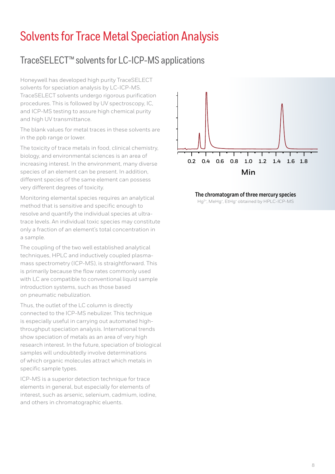## <span id="page-8-0"></span>Solvents for Trace Metal Speciation Analysis

### TraceSELECT™ solvents for LC-ICP-MS applications

Honeywell has developed high purity TraceSELECT solvents for speciation analysis by LC-ICP-MS. TraceSELECT solvents undergo rigorous purification procedures. This is followed by UV spectroscopy, IC, and ICP-MS testing to assure high chemical purity and high UV transmittance.

The blank values for metal traces in these solvents are in the ppb range or lower.

The toxicity of trace metals in food, clinical chemistry, biology, and environmental sciences is an area of increasing interest. In the environment, many diverse species of an element can be present. In addition, different species of the same element can possess very different degrees of toxicity.

Monitoring elemental species requires an analytical method that is sensitive and specific enough to resolve and quantify the individual species at ultratrace levels. An individual toxic species may constitute only a fraction of an element's total concentration in a sample.

The coupling of the two well established analytical techniques, HPLC and inductively coupled plasmamass spectrometry (ICP-MS), is straightforward. This is primarily because the flow rates commonly used with LC are compatible to conventional liquid sample introduction systems, such as those based on pneumatic nebulization.

Thus, the outlet of the LC column is directly connected to the ICP-MS nebulizer. This technique is especially useful in carrying out automated highthroughput speciation analysis. International trends show speciation of metals as an area of very high research interest. In the future, speciation of biological samples will undoubtedly involve determinations of which organic molecules attract which metals in specific sample types.

ICP-MS is a superior detection technique for trace elements in general, but especially for elements of interest, such as arsenic, selenium, cadmium, iodine, and others in chromatographic eluents.



**The chromatogram of three mercury species**  Hg<sup>2+</sup>, MeHg<sup>+</sup>, EtHg<sup>+</sup> obtained by HPLC-ICP-MS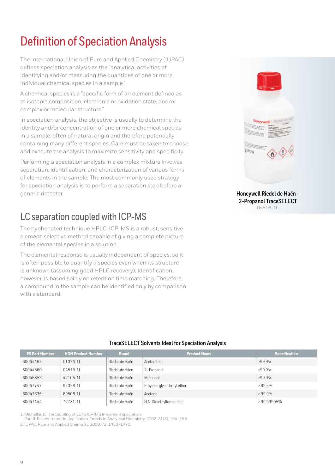# <span id="page-9-0"></span>Definition of Speciation Analysis

The International Union of Pure and Applied Chemistry (IUPAC) defines speciation analysis as the "analytical activities of identifying and/or measuring the quantities of one or more individual chemical species in a sample."

A chemical species is a "specific form of an element defined as to isotopic composition, electronic or oxidation state, and/or complex or molecular structure."

In speciation analysis, the objective is usually to determine the identity and/or concentration of one or more chemical species in a sample, often of natural origin and therefore potentially containing many different species. Care must be taken to choose and execute the analysis to maximize sensitivity and specificity.

Performing a speciation analysis in a complex mixture involves separation, identification, and characterization of various forms of elements in the sample. The most commonly used strategy for speciation analysis is to perform a separation step before a generic detector.

## LC separation coupled with ICP-MS

The hyphenated technique HPLC-ICP-MS is a robust, sensitive element-selective method capable of giving a complete picture of the elemental species in a solution.

The elemental response is usually independent of species, so it is often possible to quantify a species even when its structure is unknown (assuming good HPLC recovery). Identification, however, is based solely on retention time matching. Therefore, a compound in the sample can be identified only by comparison with a standard.



**Honeywell Riedel de Haën - 2-Propanol TraceSELECT**  04516-1L

### **TraceSELECT Solvents Ideal for Speciation Analysis**

| <b>FS Part Number</b> | <b>HON Product Number</b> | <b>Brand</b>   | <b>Product Name</b>         | <b>Specification</b> |
|-----------------------|---------------------------|----------------|-----------------------------|----------------------|
| 60044463              | $01324 - 11$              | Riedel-de Haën | Acetonitrile                | ≥99.9%               |
| 60044560              | $04516 - 11$              | Riedel-de Häen | 2- Propanol                 | ≥99.9%               |
| 60046853              | 42105-1L                  | Riedel-de Haën | Methanol                    | ≥99.9%               |
| 60047747              | 92328-11                  | Riedel-de Haën | Ethylene glycol butyl ether | $\geq 99.5\%$        |
| 60047336              | 69508-11                  | Riedel-de Haën | Acetone                     | $\geq 99.9\%$        |
| 60047444              | 72781-1L                  | Riedel-de Haën | N,N-Dimethylformamide       | ≥99.99995%           |

1. Michalke, B. The coupling of LC to ICP-MS in element speciation;

Part II: Recent trends in application. Trends in Analytical Chemistry, 2002, 21(3), 154–165.

2. IUPAC, Pure and Applied Chemistry, 2000, 72, 1453–1470.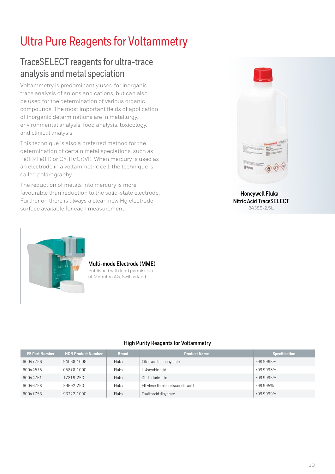# <span id="page-10-0"></span>Ultra Pure Reagents for Voltammetry

## TraceSELECT reagents for ultra-trace analysis and metal speciation

Voltammetry is predominantly used for inorganic trace analysis of anions and cations, but can also be used for the determination of various organic compounds. The most important fields of application of inorganic determinations are in metallurgy, environmental analysis, food analysis, toxicology, and clinical analysis.

This technique is also a preferred method for the determination of certain metal speciations, such as Fe(II)/Fe(III) or Cr(III)/Cr(VI). When mercury is used as an electrode in a voltammetric cell, the technique is called polarography.

The reduction of metals into mercury is more favourable than reduction to the solid-state electrode. Further on there is always a clean new Hg electrode surface available for each measurement.



#### **Honeywell Fluka - Nitric Acid TraceSELECT**  84385-2.5L



**Multi-mode Electrode (MME)** Published with kind permission of Metrohm AG, Switzerland

### **High Purity Reagents for Voltammetry**

| <b>FS Part Number</b> | <b>HON Product Number</b> | <b>Brand</b> | <b>Product Name</b>             | <b>Specification</b> |
|-----------------------|---------------------------|--------------|---------------------------------|----------------------|
| 60047756              | 94068-100G                | Fluka        | Citric acid monohydrate         | ≥99.9998%            |
| 60044575              | 05878-100G                | <b>Fluka</b> | L-Ascorbic acid                 | ≥99.9998%            |
| 60044761              | 12819-25G                 | Fluka        | DL-Tartaric acid                | ≥99.9995%            |
| 60046758              | 39692-25G                 | Fluka        | Ethylenediaminetetraacetic acid | ≥99.995%             |
| 60047753              | 93722-100G                | Fluka        | Oxalic acid dihydrate           | $>99.9999\%$         |